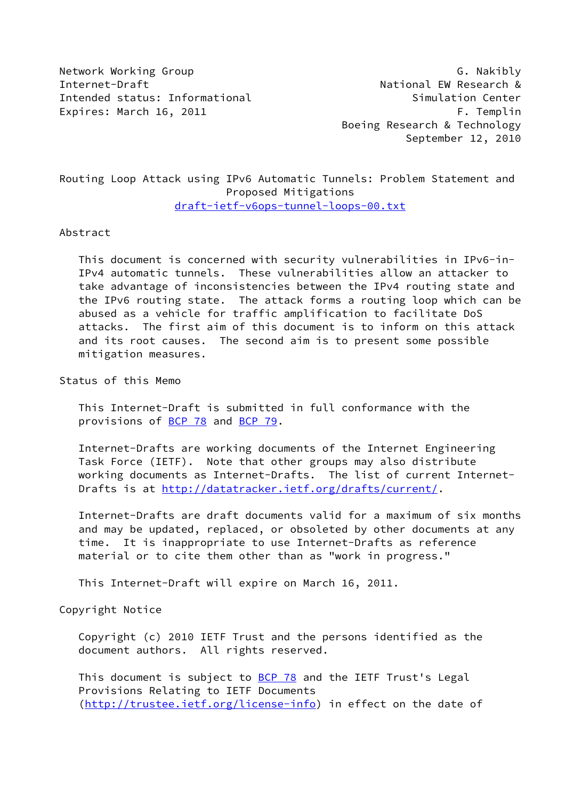Network Working Group Group G. Nakibly Internet-Draft **National EW Research &** Intended status: Informational Simulation Center Expires: March 16, 2011 **F. Templin** 

 Boeing Research & Technology September 12, 2010

# Routing Loop Attack using IPv6 Automatic Tunnels: Problem Statement and Proposed Mitigations [draft-ietf-v6ops-tunnel-loops-00.txt](https://datatracker.ietf.org/doc/pdf/draft-ietf-v6ops-tunnel-loops-00.txt)

#### Abstract

 This document is concerned with security vulnerabilities in IPv6-in- IPv4 automatic tunnels. These vulnerabilities allow an attacker to take advantage of inconsistencies between the IPv4 routing state and the IPv6 routing state. The attack forms a routing loop which can be abused as a vehicle for traffic amplification to facilitate DoS attacks. The first aim of this document is to inform on this attack and its root causes. The second aim is to present some possible mitigation measures.

Status of this Memo

 This Internet-Draft is submitted in full conformance with the provisions of [BCP 78](https://datatracker.ietf.org/doc/pdf/bcp78) and [BCP 79](https://datatracker.ietf.org/doc/pdf/bcp79).

 Internet-Drafts are working documents of the Internet Engineering Task Force (IETF). Note that other groups may also distribute working documents as Internet-Drafts. The list of current Internet- Drafts is at<http://datatracker.ietf.org/drafts/current/>.

 Internet-Drafts are draft documents valid for a maximum of six months and may be updated, replaced, or obsoleted by other documents at any time. It is inappropriate to use Internet-Drafts as reference material or to cite them other than as "work in progress."

This Internet-Draft will expire on March 16, 2011.

Copyright Notice

 Copyright (c) 2010 IETF Trust and the persons identified as the document authors. All rights reserved.

This document is subject to **[BCP 78](https://datatracker.ietf.org/doc/pdf/bcp78)** and the IETF Trust's Legal Provisions Relating to IETF Documents [\(http://trustee.ietf.org/license-info](http://trustee.ietf.org/license-info)) in effect on the date of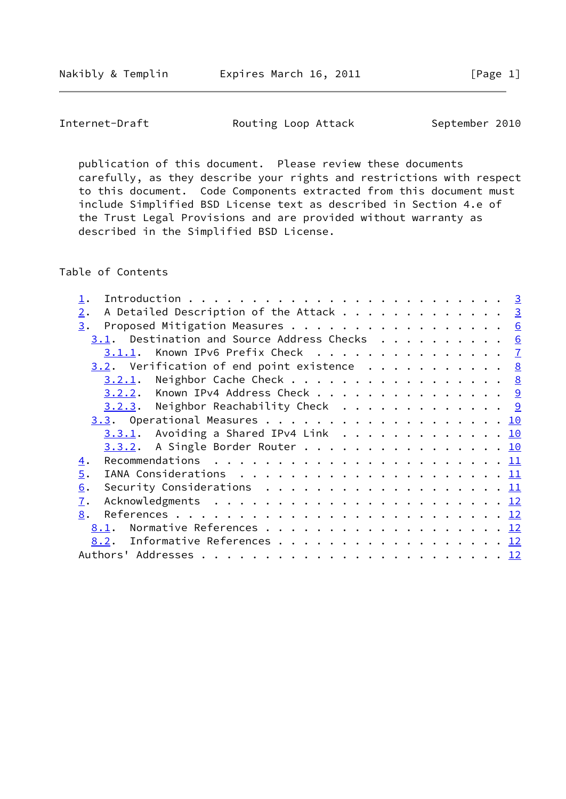Nakibly & Templin **Expires March 16, 2011** [Page 1]

Internet-Draft **Routing Loop Attack** September 2010

 publication of this document. Please review these documents carefully, as they describe your rights and restrictions with respect to this document. Code Components extracted from this document must include Simplified BSD License text as described in Section 4.e of the Trust Legal Provisions and are provided without warranty as described in the Simplified BSD License.

Table of Contents

| A Detailed Description of the Attack $\cdots$ 3<br>2.                                                     |  |
|-----------------------------------------------------------------------------------------------------------|--|
| Proposed Mitigation Measures 6<br>3.                                                                      |  |
| 3.1. Destination and Source Address Checks $6$                                                            |  |
| 3.1.1. Known IPv6 Prefix Check 7                                                                          |  |
| $3.2$ . Verification of end point existence 8                                                             |  |
| $3.2.1$ . Neighbor Cache Check 8                                                                          |  |
| 3.2.2. Known IPv4 Address Check 9                                                                         |  |
| $3.2.3$ . Neighbor Reachability Check 9                                                                   |  |
|                                                                                                           |  |
| $3.3.1$ . Avoiding a Shared IPv4 Link 10                                                                  |  |
| 3.3.2. A Single Border Router 10                                                                          |  |
| $\overline{4}$ .                                                                                          |  |
| $\overline{5}$ .<br>IANA Considerations $\ldots \ldots \ldots \ldots \ldots \ldots \ldots \underline{11}$ |  |
| Security Considerations $\ldots \ldots \ldots \ldots \ldots \ldots \ldots \underline{11}$<br>6.           |  |
| 7.                                                                                                        |  |
| 8.                                                                                                        |  |
| 8.1.                                                                                                      |  |
| 8.2. Informative References 12                                                                            |  |
|                                                                                                           |  |
|                                                                                                           |  |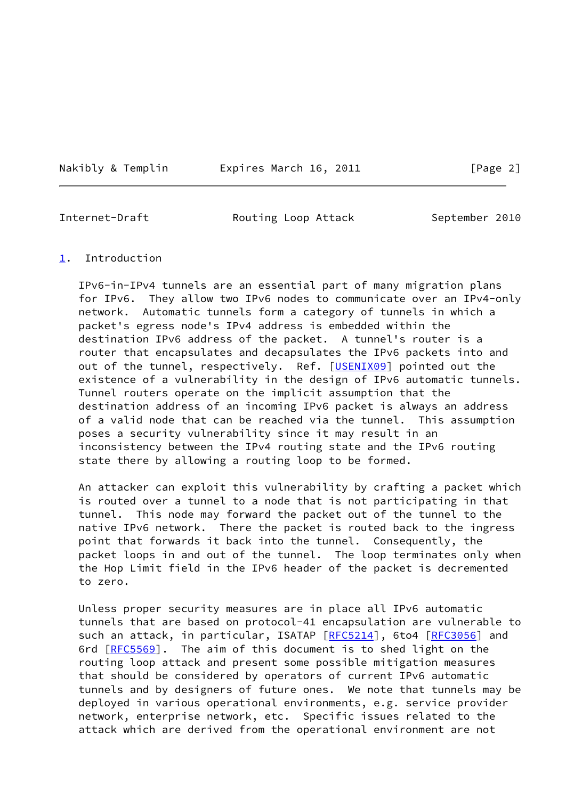Nakibly & Templin **Expires March 16, 2011** [Page 2]

<span id="page-2-1"></span>

Internet-Draft **Routing Loop Attack** September 2010

#### <span id="page-2-0"></span>[1](#page-2-0). Introduction

 IPv6-in-IPv4 tunnels are an essential part of many migration plans for IPv6. They allow two IPv6 nodes to communicate over an IPv4-only network. Automatic tunnels form a category of tunnels in which a packet's egress node's IPv4 address is embedded within the destination IPv6 address of the packet. A tunnel's router is a router that encapsulates and decapsulates the IPv6 packets into and out of the tunnel, respectively. Ref. [\[USENIX09](#page-13-1)] pointed out the existence of a vulnerability in the design of IPv6 automatic tunnels. Tunnel routers operate on the implicit assumption that the destination address of an incoming IPv6 packet is always an address of a valid node that can be reached via the tunnel. This assumption poses a security vulnerability since it may result in an inconsistency between the IPv4 routing state and the IPv6 routing state there by allowing a routing loop to be formed.

 An attacker can exploit this vulnerability by crafting a packet which is routed over a tunnel to a node that is not participating in that tunnel. This node may forward the packet out of the tunnel to the native IPv6 network. There the packet is routed back to the ingress point that forwards it back into the tunnel. Consequently, the packet loops in and out of the tunnel. The loop terminates only when the Hop Limit field in the IPv6 header of the packet is decremented to zero.

 Unless proper security measures are in place all IPv6 automatic tunnels that are based on protocol-41 encapsulation are vulnerable to such an attack, in particular, ISATAP [[RFC5214](https://datatracker.ietf.org/doc/pdf/rfc5214)], 6to4 [[RFC3056](https://datatracker.ietf.org/doc/pdf/rfc3056)] and 6rd [\[RFC5569](https://datatracker.ietf.org/doc/pdf/rfc5569)]. The aim of this document is to shed light on the routing loop attack and present some possible mitigation measures that should be considered by operators of current IPv6 automatic tunnels and by designers of future ones. We note that tunnels may be deployed in various operational environments, e.g. service provider network, enterprise network, etc. Specific issues related to the attack which are derived from the operational environment are not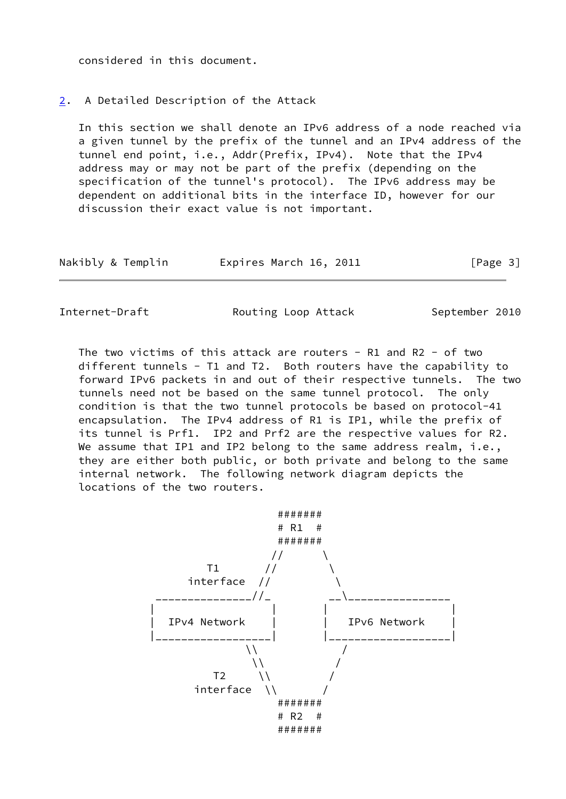considered in this document.

# <span id="page-3-0"></span>[2](#page-3-0). A Detailed Description of the Attack

 In this section we shall denote an IPv6 address of a node reached via a given tunnel by the prefix of the tunnel and an IPv4 address of the tunnel end point, i.e., Addr(Prefix, IPv4). Note that the IPv4 address may or may not be part of the prefix (depending on the specification of the tunnel's protocol). The IPv6 address may be dependent on additional bits in the interface ID, however for our discussion their exact value is not important.

| Nakibly & Templin | Expires March 16, 2011 | [Page 3] |
|-------------------|------------------------|----------|
|-------------------|------------------------|----------|

Internet-Draft Routing Loop Attack September 2010

 The two victims of this attack are routers - R1 and R2 - of two different tunnels - T1 and T2. Both routers have the capability to forward IPv6 packets in and out of their respective tunnels. The two tunnels need not be based on the same tunnel protocol. The only condition is that the two tunnel protocols be based on protocol-41 encapsulation. The IPv4 address of R1 is IP1, while the prefix of its tunnel is Prf1. IP2 and Prf2 are the respective values for R2. We assume that IP1 and IP2 belong to the same address realm, i.e., they are either both public, or both private and belong to the same internal network. The following network diagram depicts the locations of the two routers.

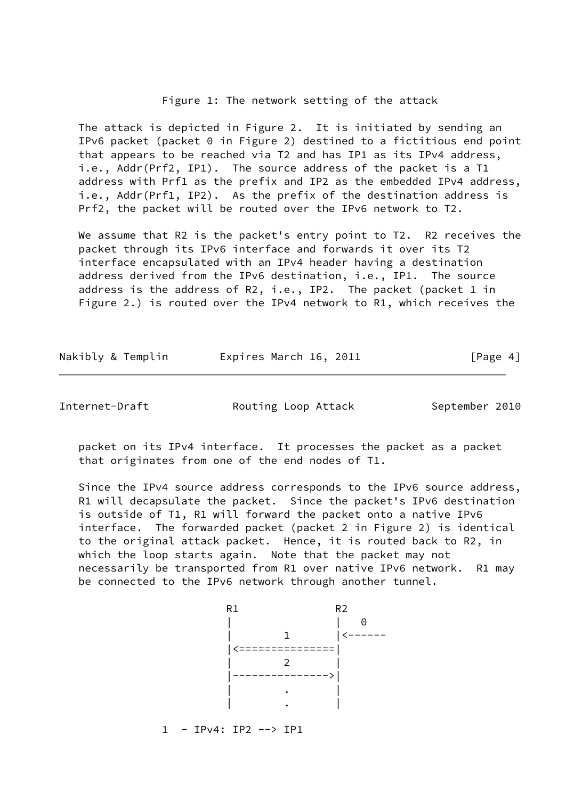#### Figure 1: The network setting of the attack

 The attack is depicted in Figure 2. It is initiated by sending an IPv6 packet (packet 0 in Figure 2) destined to a fictitious end point that appears to be reached via T2 and has IP1 as its IPv4 address, i.e., Addr(Prf2, IP1). The source address of the packet is a T1 address with Prf1 as the prefix and IP2 as the embedded IPv4 address, i.e., Addr(Prf1, IP2). As the prefix of the destination address is Prf2, the packet will be routed over the IPv6 network to T2.

We assume that R2 is the packet's entry point to T2. R2 receives the packet through its IPv6 interface and forwards it over its T2 interface encapsulated with an IPv4 header having a destination address derived from the IPv6 destination, i.e., IP1. The source address is the address of R2, i.e., IP2. The packet (packet 1 in Figure 2.) is routed over the IPv4 network to R1, which receives the

| Nakibly & Templin | Expires March 16, 2011 | [Page 4] |
|-------------------|------------------------|----------|
|-------------------|------------------------|----------|

Internet-Draft **Routing Loop Attack** September 2010

 packet on its IPv4 interface. It processes the packet as a packet that originates from one of the end nodes of T1.

 Since the IPv4 source address corresponds to the IPv6 source address, R1 will decapsulate the packet. Since the packet's IPv6 destination is outside of T1, R1 will forward the packet onto a native IPv6 interface. The forwarded packet (packet 2 in Figure 2) is identical to the original attack packet. Hence, it is routed back to R2, in which the loop starts again. Note that the packet may not necessarily be transported from R1 over native IPv6 network. R1 may be connected to the IPv6 network through another tunnel.

R<sub>1</sub> R<sub>1</sub> R<sub>2</sub> | | 0  $\frac{1}{\sqrt{1-\cdots}}$  |<===============| | 2 | |--------------->| | . | | . |

1 - IPv4: IP2 --> IP1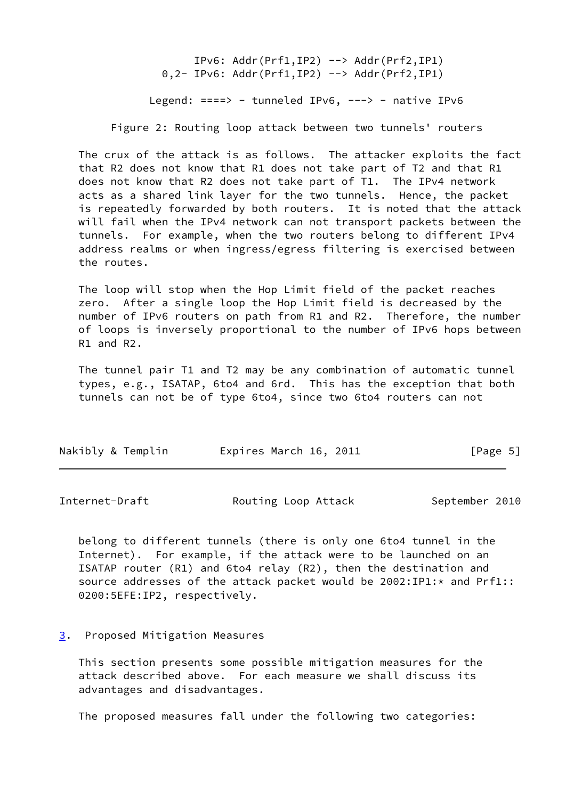IPv6: Addr(Prf1,IP2) --> Addr(Prf2,IP1) 0,2- IPv6: Addr(Prf1,IP2) --> Addr(Prf2,IP1) Legend:  $==-> -$  tunneled IPv6,  $---> -$  native IPv6 Figure 2: Routing loop attack between two tunnels' routers

 The crux of the attack is as follows. The attacker exploits the fact that R2 does not know that R1 does not take part of T2 and that R1 does not know that R2 does not take part of T1. The IPv4 network acts as a shared link layer for the two tunnels. Hence, the packet is repeatedly forwarded by both routers. It is noted that the attack will fail when the IPv4 network can not transport packets between the tunnels. For example, when the two routers belong to different IPv4 address realms or when ingress/egress filtering is exercised between the routes.

 The loop will stop when the Hop Limit field of the packet reaches zero. After a single loop the Hop Limit field is decreased by the number of IPv6 routers on path from R1 and R2. Therefore, the number of loops is inversely proportional to the number of IPv6 hops between R1 and R2.

 The tunnel pair T1 and T2 may be any combination of automatic tunnel types, e.g., ISATAP, 6to4 and 6rd. This has the exception that both tunnels can not be of type 6to4, since two 6to4 routers can not

| Nakibly & Templin | Expires March 16, 2011 | [Page 5] |
|-------------------|------------------------|----------|
|-------------------|------------------------|----------|

<span id="page-5-1"></span>Internet-Draft **Routing Loop Attack** September 2010

 belong to different tunnels (there is only one 6to4 tunnel in the Internet). For example, if the attack were to be launched on an ISATAP router (R1) and 6to4 relay (R2), then the destination and source addresses of the attack packet would be 2002:IP1:\* and Prf1:: 0200:5EFE:IP2, respectively.

#### <span id="page-5-0"></span>[3](#page-5-0). Proposed Mitigation Measures

 This section presents some possible mitigation measures for the attack described above. For each measure we shall discuss its advantages and disadvantages.

The proposed measures fall under the following two categories: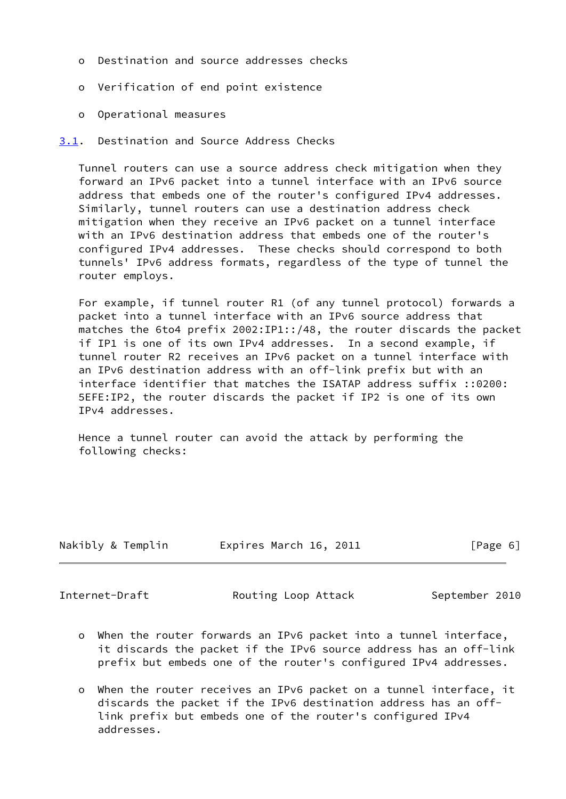- o Destination and source addresses checks
- o Verification of end point existence
- o Operational measures
- <span id="page-6-0"></span>[3.1](#page-6-0). Destination and Source Address Checks

 Tunnel routers can use a source address check mitigation when they forward an IPv6 packet into a tunnel interface with an IPv6 source address that embeds one of the router's configured IPv4 addresses. Similarly, tunnel routers can use a destination address check mitigation when they receive an IPv6 packet on a tunnel interface with an IPv6 destination address that embeds one of the router's configured IPv4 addresses. These checks should correspond to both tunnels' IPv6 address formats, regardless of the type of tunnel the router employs.

 For example, if tunnel router R1 (of any tunnel protocol) forwards a packet into a tunnel interface with an IPv6 source address that matches the 6to4 prefix 2002:IP1::/48, the router discards the packet if IP1 is one of its own IPv4 addresses. In a second example, if tunnel router R2 receives an IPv6 packet on a tunnel interface with an IPv6 destination address with an off-link prefix but with an interface identifier that matches the ISATAP address suffix ::0200: 5EFE:IP2, the router discards the packet if IP2 is one of its own IPv4 addresses.

 Hence a tunnel router can avoid the attack by performing the following checks:

| Nakibly & Templin<br>Expires March 16, 2011 | [Page 6] |
|---------------------------------------------|----------|

<span id="page-6-1"></span>

Internet-Draft **Routing Loop Attack** September 2010

- o When the router forwards an IPv6 packet into a tunnel interface, it discards the packet if the IPv6 source address has an off-link prefix but embeds one of the router's configured IPv4 addresses.
- o When the router receives an IPv6 packet on a tunnel interface, it discards the packet if the IPv6 destination address has an off link prefix but embeds one of the router's configured IPv4 addresses.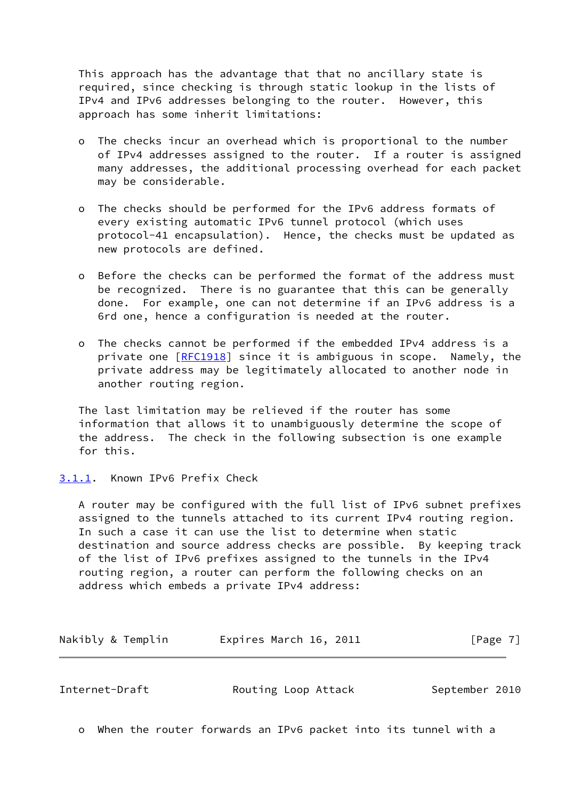This approach has the advantage that that no ancillary state is required, since checking is through static lookup in the lists of IPv4 and IPv6 addresses belonging to the router. However, this approach has some inherit limitations:

- The checks incur an overhead which is proportional to the number of IPv4 addresses assigned to the router. If a router is assigned many addresses, the additional processing overhead for each packet may be considerable.
- o The checks should be performed for the IPv6 address formats of every existing automatic IPv6 tunnel protocol (which uses protocol-41 encapsulation). Hence, the checks must be updated as new protocols are defined.
- o Before the checks can be performed the format of the address must be recognized. There is no guarantee that this can be generally done. For example, one can not determine if an IPv6 address is a 6rd one, hence a configuration is needed at the router.
- o The checks cannot be performed if the embedded IPv4 address is a private one [\[RFC1918](https://datatracker.ietf.org/doc/pdf/rfc1918)] since it is ambiguous in scope. Namely, the private address may be legitimately allocated to another node in another routing region.

 The last limitation may be relieved if the router has some information that allows it to unambiguously determine the scope of the address. The check in the following subsection is one example for this.

<span id="page-7-0"></span>[3.1.1](#page-7-0). Known IPv6 Prefix Check

 A router may be configured with the full list of IPv6 subnet prefixes assigned to the tunnels attached to its current IPv4 routing region. In such a case it can use the list to determine when static destination and source address checks are possible. By keeping track of the list of IPv6 prefixes assigned to the tunnels in the IPv4 routing region, a router can perform the following checks on an address which embeds a private IPv4 address:

Nakibly & Templin **Expires March 16, 2011** [Page 7]

<span id="page-7-1"></span>Internet-Draft **Routing Loop Attack** September 2010

o When the router forwards an IPv6 packet into its tunnel with a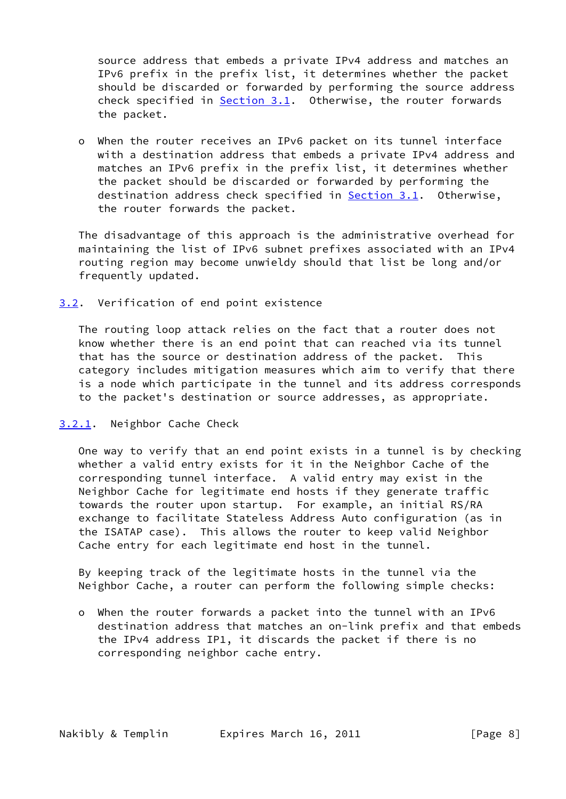source address that embeds a private IPv4 address and matches an IPv6 prefix in the prefix list, it determines whether the packet should be discarded or forwarded by performing the source address check specified in **Section 3.1.** Otherwise, the router forwards the packet.

 o When the router receives an IPv6 packet on its tunnel interface with a destination address that embeds a private IPv4 address and matches an IPv6 prefix in the prefix list, it determines whether the packet should be discarded or forwarded by performing the destination address check specified in **Section 3.1</u>.** Otherwise, the router forwards the packet.

 The disadvantage of this approach is the administrative overhead for maintaining the list of IPv6 subnet prefixes associated with an IPv4 routing region may become unwieldy should that list be long and/or frequently updated.

# <span id="page-8-0"></span>[3.2](#page-8-0). Verification of end point existence

 The routing loop attack relies on the fact that a router does not know whether there is an end point that can reached via its tunnel that has the source or destination address of the packet. This category includes mitigation measures which aim to verify that there is a node which participate in the tunnel and its address corresponds to the packet's destination or source addresses, as appropriate.

# <span id="page-8-1"></span>[3.2.1](#page-8-1). Neighbor Cache Check

 One way to verify that an end point exists in a tunnel is by checking whether a valid entry exists for it in the Neighbor Cache of the corresponding tunnel interface. A valid entry may exist in the Neighbor Cache for legitimate end hosts if they generate traffic towards the router upon startup. For example, an initial RS/RA exchange to facilitate Stateless Address Auto configuration (as in the ISATAP case). This allows the router to keep valid Neighbor Cache entry for each legitimate end host in the tunnel.

 By keeping track of the legitimate hosts in the tunnel via the Neighbor Cache, a router can perform the following simple checks:

 o When the router forwards a packet into the tunnel with an IPv6 destination address that matches an on-link prefix and that embeds the IPv4 address IP1, it discards the packet if there is no corresponding neighbor cache entry.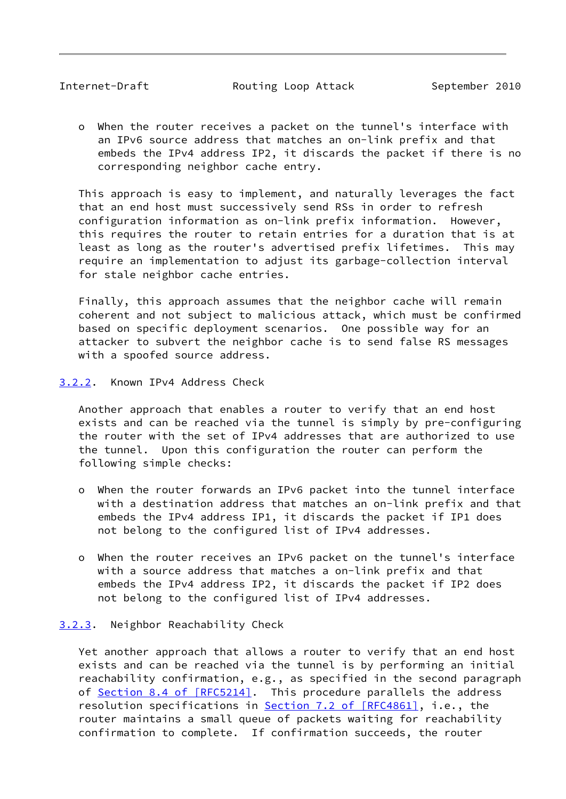<span id="page-9-1"></span>Internet-Draft Routing Loop Attack September 2010

 o When the router receives a packet on the tunnel's interface with an IPv6 source address that matches an on-link prefix and that embeds the IPv4 address IP2, it discards the packet if there is no corresponding neighbor cache entry.

 This approach is easy to implement, and naturally leverages the fact that an end host must successively send RSs in order to refresh configuration information as on-link prefix information. However, this requires the router to retain entries for a duration that is at least as long as the router's advertised prefix lifetimes. This may require an implementation to adjust its garbage-collection interval for stale neighbor cache entries.

 Finally, this approach assumes that the neighbor cache will remain coherent and not subject to malicious attack, which must be confirmed based on specific deployment scenarios. One possible way for an attacker to subvert the neighbor cache is to send false RS messages with a spoofed source address.

<span id="page-9-0"></span>[3.2.2](#page-9-0). Known IPv4 Address Check

 Another approach that enables a router to verify that an end host exists and can be reached via the tunnel is simply by pre-configuring the router with the set of IPv4 addresses that are authorized to use the tunnel. Upon this configuration the router can perform the following simple checks:

- o When the router forwards an IPv6 packet into the tunnel interface with a destination address that matches an on-link prefix and that embeds the IPv4 address IP1, it discards the packet if IP1 does not belong to the configured list of IPv4 addresses.
- o When the router receives an IPv6 packet on the tunnel's interface with a source address that matches a on-link prefix and that embeds the IPv4 address IP2, it discards the packet if IP2 does not belong to the configured list of IPv4 addresses.

# <span id="page-9-2"></span>[3.2.3](#page-9-2). Neighbor Reachability Check

 Yet another approach that allows a router to verify that an end host exists and can be reached via the tunnel is by performing an initial reachability confirmation, e.g., as specified in the second paragraph of Section [8.4 of \[RFC5214\].](https://datatracker.ietf.org/doc/pdf/rfc5214#section-8.4) This procedure parallels the address resolution specifications in **Section [7.2 of \[RFC4861\]](https://datatracker.ietf.org/doc/pdf/rfc4861#section-7.2)**, i.e., the router maintains a small queue of packets waiting for reachability confirmation to complete. If confirmation succeeds, the router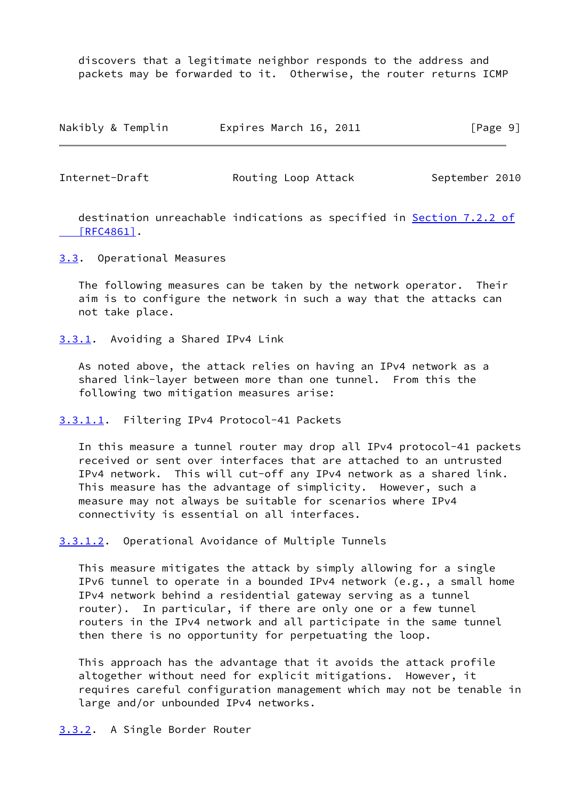discovers that a legitimate neighbor responds to the address and packets may be forwarded to it. Otherwise, the router returns ICMP

| Nakibly & Templin | Expires March 16, 2011 | [Page 9] |
|-------------------|------------------------|----------|
|-------------------|------------------------|----------|

<span id="page-10-1"></span>Internet-Draft Routing Loop Attack September 2010

 destination unreachable indications as specified in Section [7.2.2 of](https://datatracker.ietf.org/doc/pdf/rfc4861#section-7.2.2)  [\[RFC4861\]](https://datatracker.ietf.org/doc/pdf/rfc4861#section-7.2.2).

<span id="page-10-0"></span>[3.3](#page-10-0). Operational Measures

 The following measures can be taken by the network operator. Their aim is to configure the network in such a way that the attacks can not take place.

<span id="page-10-2"></span>[3.3.1](#page-10-2). Avoiding a Shared IPv4 Link

 As noted above, the attack relies on having an IPv4 network as a shared link-layer between more than one tunnel. From this the following two mitigation measures arise:

<span id="page-10-4"></span>[3.3.1.1](#page-10-4). Filtering IPv4 Protocol-41 Packets

 In this measure a tunnel router may drop all IPv4 protocol-41 packets received or sent over interfaces that are attached to an untrusted IPv4 network. This will cut-off any IPv4 network as a shared link. This measure has the advantage of simplicity. However, such a measure may not always be suitable for scenarios where IPv4 connectivity is essential on all interfaces.

<span id="page-10-5"></span>[3.3.1.2](#page-10-5). Operational Avoidance of Multiple Tunnels

 This measure mitigates the attack by simply allowing for a single IPv6 tunnel to operate in a bounded IPv4 network (e.g., a small home IPv4 network behind a residential gateway serving as a tunnel router). In particular, if there are only one or a few tunnel routers in the IPv4 network and all participate in the same tunnel then there is no opportunity for perpetuating the loop.

 This approach has the advantage that it avoids the attack profile altogether without need for explicit mitigations. However, it requires careful configuration management which may not be tenable in large and/or unbounded IPv4 networks.

<span id="page-10-3"></span>[3.3.2](#page-10-3). A Single Border Router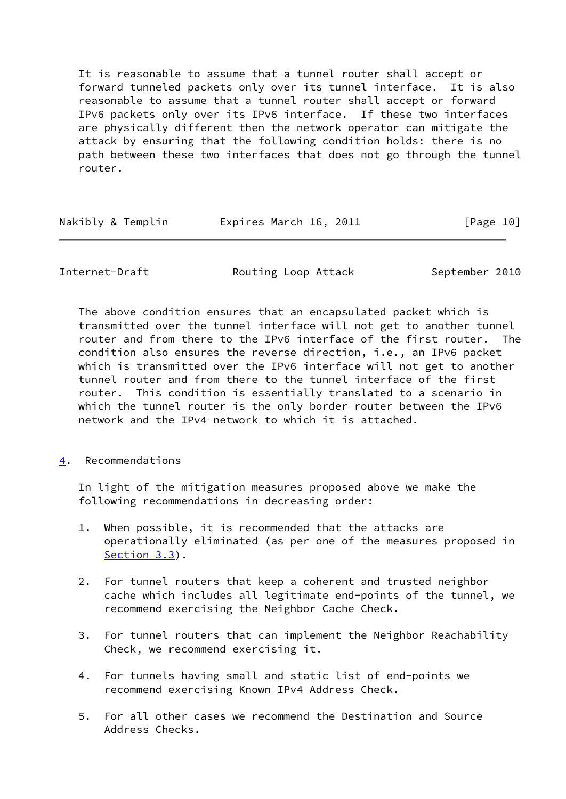It is reasonable to assume that a tunnel router shall accept or forward tunneled packets only over its tunnel interface. It is also reasonable to assume that a tunnel router shall accept or forward IPv6 packets only over its IPv6 interface. If these two interfaces are physically different then the network operator can mitigate the attack by ensuring that the following condition holds: there is no path between these two interfaces that does not go through the tunnel router.

| Nakibly & Templin | Expires March 16, 2011 | [Page 10] |
|-------------------|------------------------|-----------|
|                   |                        |           |

<span id="page-11-1"></span>Internet-Draft **Routing Loop Attack** September 2010

 The above condition ensures that an encapsulated packet which is transmitted over the tunnel interface will not get to another tunnel router and from there to the IPv6 interface of the first router. The condition also ensures the reverse direction, i.e., an IPv6 packet which is transmitted over the IPv6 interface will not get to another tunnel router and from there to the tunnel interface of the first router. This condition is essentially translated to a scenario in which the tunnel router is the only border router between the IPv6 network and the IPv4 network to which it is attached.

<span id="page-11-0"></span>[4](#page-11-0). Recommendations

 In light of the mitigation measures proposed above we make the following recommendations in decreasing order:

- 1. When possible, it is recommended that the attacks are operationally eliminated (as per one of the measures proposed in [Section 3.3\)](#page-10-0).
- 2. For tunnel routers that keep a coherent and trusted neighbor cache which includes all legitimate end-points of the tunnel, we recommend exercising the Neighbor Cache Check.
- 3. For tunnel routers that can implement the Neighbor Reachability Check, we recommend exercising it.
- 4. For tunnels having small and static list of end-points we recommend exercising Known IPv4 Address Check.
- 5. For all other cases we recommend the Destination and Source Address Checks.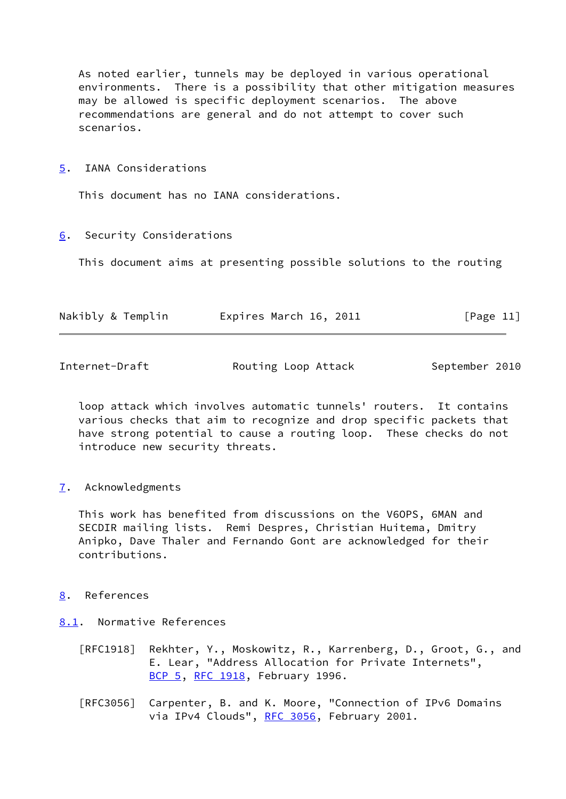As noted earlier, tunnels may be deployed in various operational environments. There is a possibility that other mitigation measures may be allowed is specific deployment scenarios. The above recommendations are general and do not attempt to cover such scenarios.

<span id="page-12-0"></span>[5](#page-12-0). IANA Considerations

This document has no IANA considerations.

<span id="page-12-1"></span>[6](#page-12-1). Security Considerations

This document aims at presenting possible solutions to the routing

| Nakibly & Templin | Expires March 16, 2011 | [Page 11] |
|-------------------|------------------------|-----------|
|                   |                        |           |

<span id="page-12-3"></span>Internet-Draft Routing Loop Attack September 2010

 loop attack which involves automatic tunnels' routers. It contains various checks that aim to recognize and drop specific packets that have strong potential to cause a routing loop. These checks do not introduce new security threats.

<span id="page-12-2"></span>[7](#page-12-2). Acknowledgments

 This work has benefited from discussions on the V6OPS, 6MAN and SECDIR mailing lists. Remi Despres, Christian Huitema, Dmitry Anipko, Dave Thaler and Fernando Gont are acknowledged for their contributions.

# <span id="page-12-4"></span>[8](#page-12-4). References

- <span id="page-12-5"></span>[8.1](#page-12-5). Normative References
	- [RFC1918] Rekhter, Y., Moskowitz, R., Karrenberg, D., Groot, G., and E. Lear, "Address Allocation for Private Internets", [BCP 5,](https://datatracker.ietf.org/doc/pdf/bcp5) [RFC 1918](https://datatracker.ietf.org/doc/pdf/rfc1918), February 1996.
	- [RFC3056] Carpenter, B. and K. Moore, "Connection of IPv6 Domains via IPv4 Clouds", [RFC 3056](https://datatracker.ietf.org/doc/pdf/rfc3056), February 2001.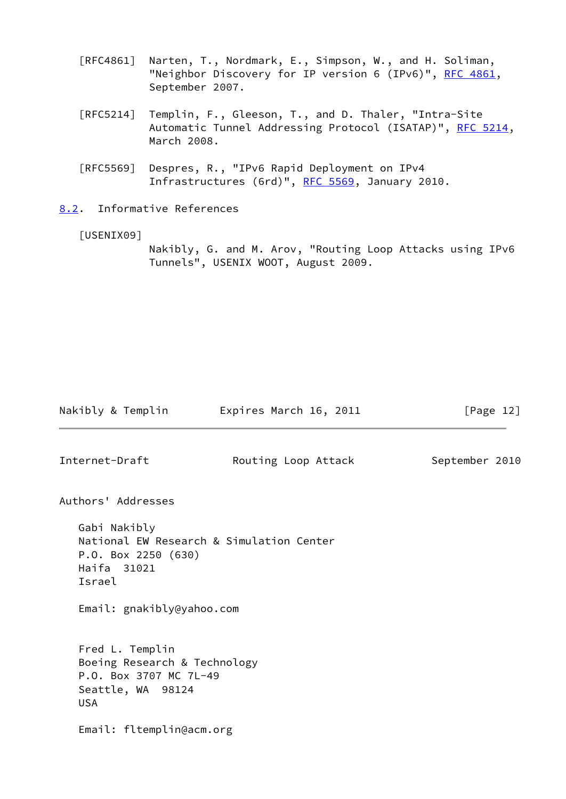- [RFC4861] Narten, T., Nordmark, E., Simpson, W., and H. Soliman, "Neighbor Discovery for IP version 6 (IPv6)", [RFC 4861](https://datatracker.ietf.org/doc/pdf/rfc4861), September 2007.
- [RFC5214] Templin, F., Gleeson, T., and D. Thaler, "Intra-Site Automatic Tunnel Addressing Protocol (ISATAP)", [RFC 5214,](https://datatracker.ietf.org/doc/pdf/rfc5214) March 2008.
- [RFC5569] Despres, R., "IPv6 Rapid Deployment on IPv4 Infrastructures (6rd)", [RFC 5569,](https://datatracker.ietf.org/doc/pdf/rfc5569) January 2010.

<span id="page-13-0"></span>[8.2](#page-13-0). Informative References

<span id="page-13-1"></span>[USENIX09]

 Nakibly, G. and M. Arov, "Routing Loop Attacks using IPv6 Tunnels", USENIX WOOT, August 2009.

Nakibly & Templin **Expires March 16, 2011** [Page 12] Internet-Draft **Routing Loop Attack** September 2010 Authors' Addresses Gabi Nakibly National EW Research & Simulation Center P.O. Box 2250 (630) Haifa 31021 Israel Email: gnakibly@yahoo.com Fred L. Templin Boeing Research & Technology P.O. Box 3707 MC 7L-49 Seattle, WA 98124 USA Email: fltemplin@acm.org